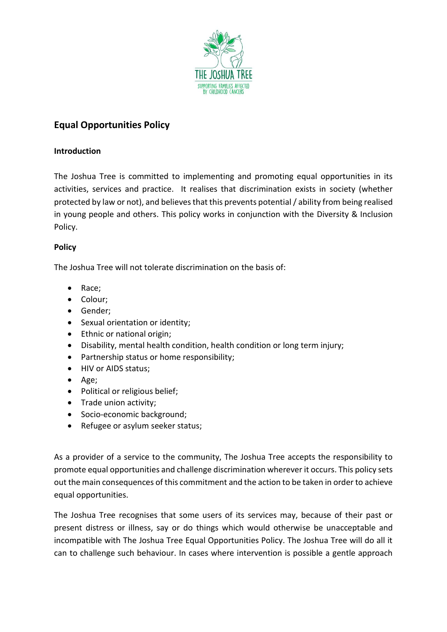

# **Equal Opportunities Policy**

# **Introduction**

The Joshua Tree is committed to implementing and promoting equal opportunities in its activities, services and practice. It realises that discrimination exists in society (whether protected by law or not), and believes that this prevents potential / ability from being realised in young people and others. This policy works in conjunction with the Diversity & Inclusion Policy.

# **Policy**

The Joshua Tree will not tolerate discrimination on the basis of:

- Race;
- Colour;
- Gender;
- Sexual orientation or identity;
- Ethnic or national origin;
- Disability, mental health condition, health condition or long term injury;
- Partnership status or home responsibility;
- HIV or AIDS status;
- Age;
- Political or religious belief;
- Trade union activity;
- Socio-economic background;
- Refugee or asylum seeker status;

As a provider of a service to the community, The Joshua Tree accepts the responsibility to promote equal opportunities and challenge discrimination wherever it occurs. This policy sets out the main consequences of this commitment and the action to be taken in order to achieve equal opportunities.

The Joshua Tree recognises that some users of its services may, because of their past or present distress or illness, say or do things which would otherwise be unacceptable and incompatible with The Joshua Tree Equal Opportunities Policy. The Joshua Tree will do all it can to challenge such behaviour. In cases where intervention is possible a gentle approach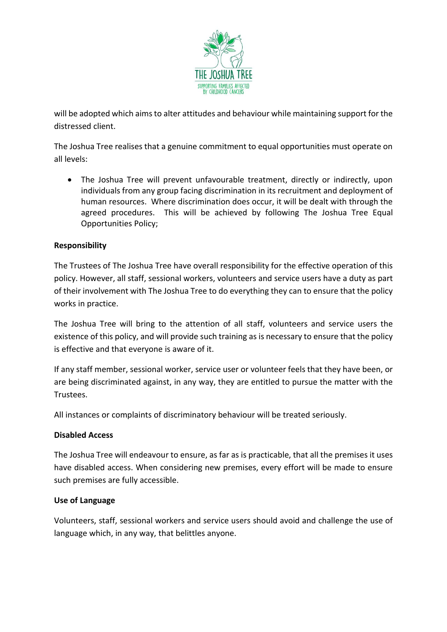

will be adopted which aims to alter attitudes and behaviour while maintaining support for the distressed client.

The Joshua Tree realises that a genuine commitment to equal opportunities must operate on all levels:

• The Joshua Tree will prevent unfavourable treatment, directly or indirectly, upon individuals from any group facing discrimination in its recruitment and deployment of human resources. Where discrimination does occur, it will be dealt with through the agreed procedures. This will be achieved by following The Joshua Tree Equal Opportunities Policy;

# **Responsibility**

The Trustees of The Joshua Tree have overall responsibility for the effective operation of this policy. However, all staff, sessional workers, volunteers and service users have a duty as part of their involvement with The Joshua Tree to do everything they can to ensure that the policy works in practice.

The Joshua Tree will bring to the attention of all staff, volunteers and service users the existence of this policy, and will provide such training as is necessary to ensure that the policy is effective and that everyone is aware of it.

If any staff member, sessional worker, service user or volunteer feels that they have been, or are being discriminated against, in any way, they are entitled to pursue the matter with the Trustees.

All instances or complaints of discriminatory behaviour will be treated seriously.

### **Disabled Access**

The Joshua Tree will endeavour to ensure, as far as is practicable, that all the premises it uses have disabled access. When considering new premises, every effort will be made to ensure such premises are fully accessible.

### **Use of Language**

Volunteers, staff, sessional workers and service users should avoid and challenge the use of language which, in any way, that belittles anyone.